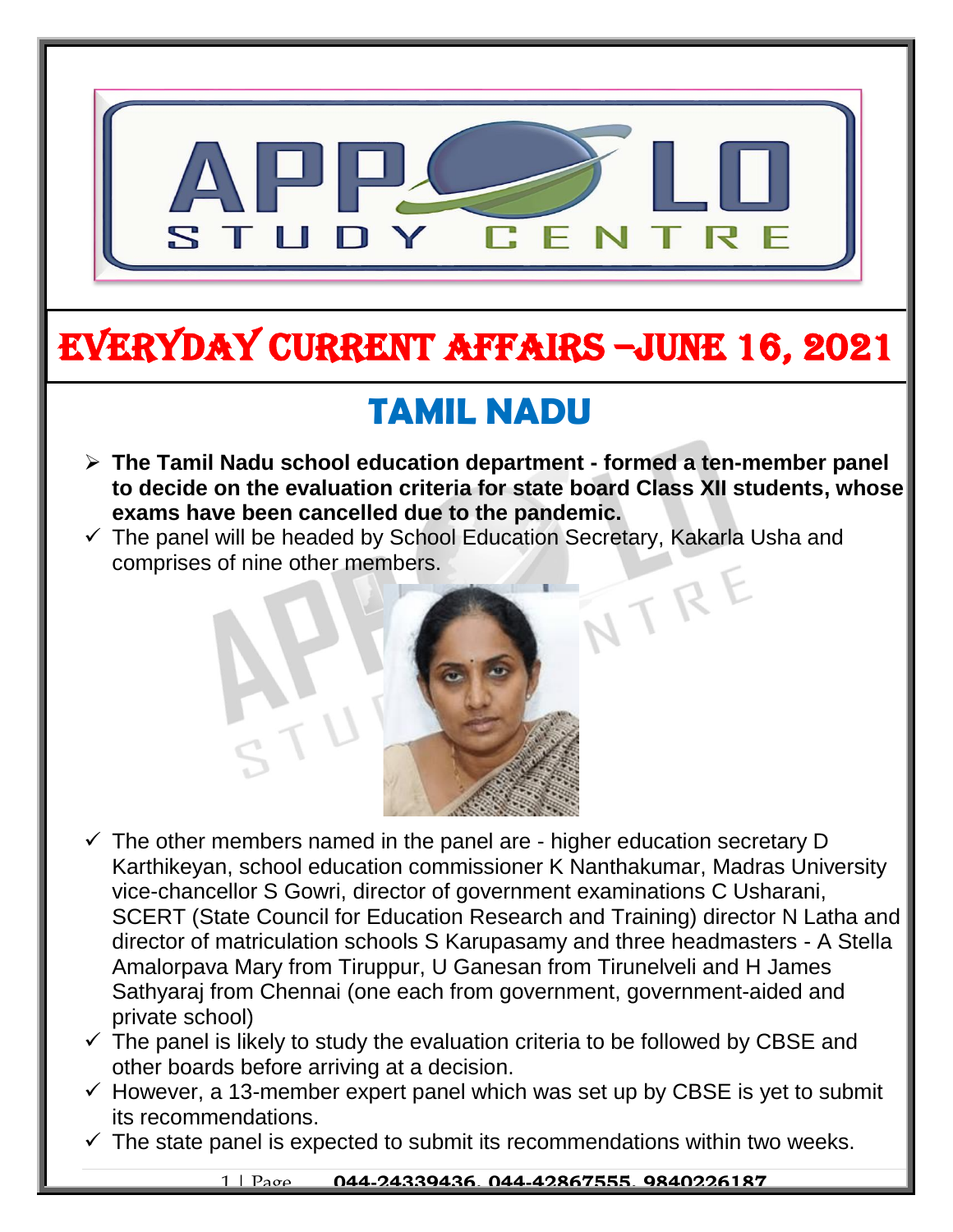

# EVERYDAY CURRENT AFFAIRS –jUNE 16, 2021

# **TAMIL NADU**

-

- **The Tamil Nadu school education department - formed a ten-member panel to decide on the evaluation criteria for state board Class XII students, whose exams have been cancelled due to the pandemic.**
- $\checkmark$  The panel will be headed by School Education Secretary, Kakarla Usha and comprises of nine other members. VTRE



- $\checkmark$  The other members named in the panel are higher education secretary D Karthikeyan, school education commissioner K Nanthakumar, Madras University vice-chancellor S Gowri, director of government examinations C Usharani, SCERT (State Council for Education Research and Training) director N Latha and director of matriculation schools S Karupasamy and three headmasters - A Stella Amalorpava Mary from Tiruppur, U Ganesan from Tirunelveli and H James Sathyaraj from Chennai (one each from government, government-aided and private school)
- $\checkmark$  The panel is likely to study the evaluation criteria to be followed by CBSE and other boards before arriving at a decision.
- $\checkmark$  However, a 13-member expert panel which was set up by CBSE is yet to submit its recommendations.
- $\checkmark$  The state panel is expected to submit its recommendations within two weeks.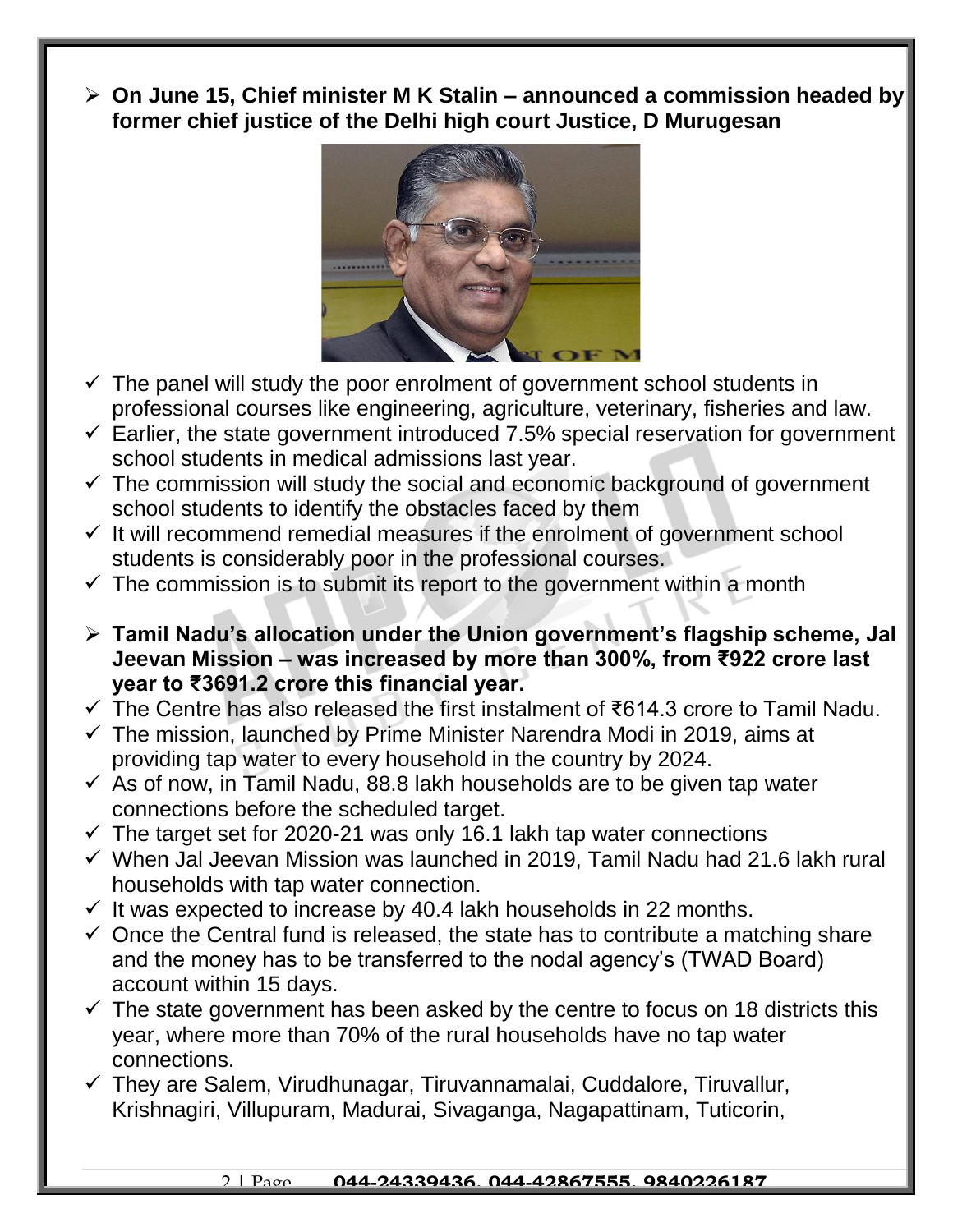**On June 15, Chief minister M K Stalin – announced a commission headed by former chief justice of the Delhi high court Justice, D Murugesan**



- $\checkmark$  The panel will study the poor enrolment of government school students in professional courses like engineering, agriculture, veterinary, fisheries and law.
- $\checkmark$  Earlier, the state government introduced 7.5% special reservation for government school students in medical admissions last year.
- $\checkmark$  The commission will study the social and economic background of government school students to identify the obstacles faced by them
- $\checkmark$  It will recommend remedial measures if the enrolment of government school students is considerably poor in the professional courses.
- $\checkmark$  The commission is to submit its report to the government within a month
- **Tamil Nadu's allocation under the Union government's flagship scheme, Jal Jeevan Mission – was increased by more than 300%, from ₹922 crore last year to ₹3691.2 crore this financial year.**
- The Centre has also released the first instalment of ₹614.3 crore to Tamil Nadu.
- $\checkmark$  The mission, launched by Prime Minister Narendra Modi in 2019, aims at providing tap water to every household in the country by 2024.
- $\checkmark$  As of now, in Tamil Nadu, 88.8 lakh households are to be given tap water connections before the scheduled target.
- $\checkmark$  The target set for 2020-21 was only 16.1 lakh tap water connections
- $\checkmark$  When Jal Jeevan Mission was launched in 2019, Tamil Nadu had 21.6 lakh rural households with tap water connection.
- $\checkmark$  It was expected to increase by 40.4 lakh households in 22 months.
- $\checkmark$  Once the Central fund is released, the state has to contribute a matching share and the money has to be transferred to the nodal agency's (TWAD Board) account within 15 days.
- $\checkmark$  The state government has been asked by the centre to focus on 18 districts this year, where more than 70% of the rural households have no tap water connections.
- $\checkmark$  They are Salem, Virudhunagar, Tiruvannamalai, Cuddalore, Tiruvallur, Krishnagiri, Villupuram, Madurai, Sivaganga, Nagapattinam, Tuticorin,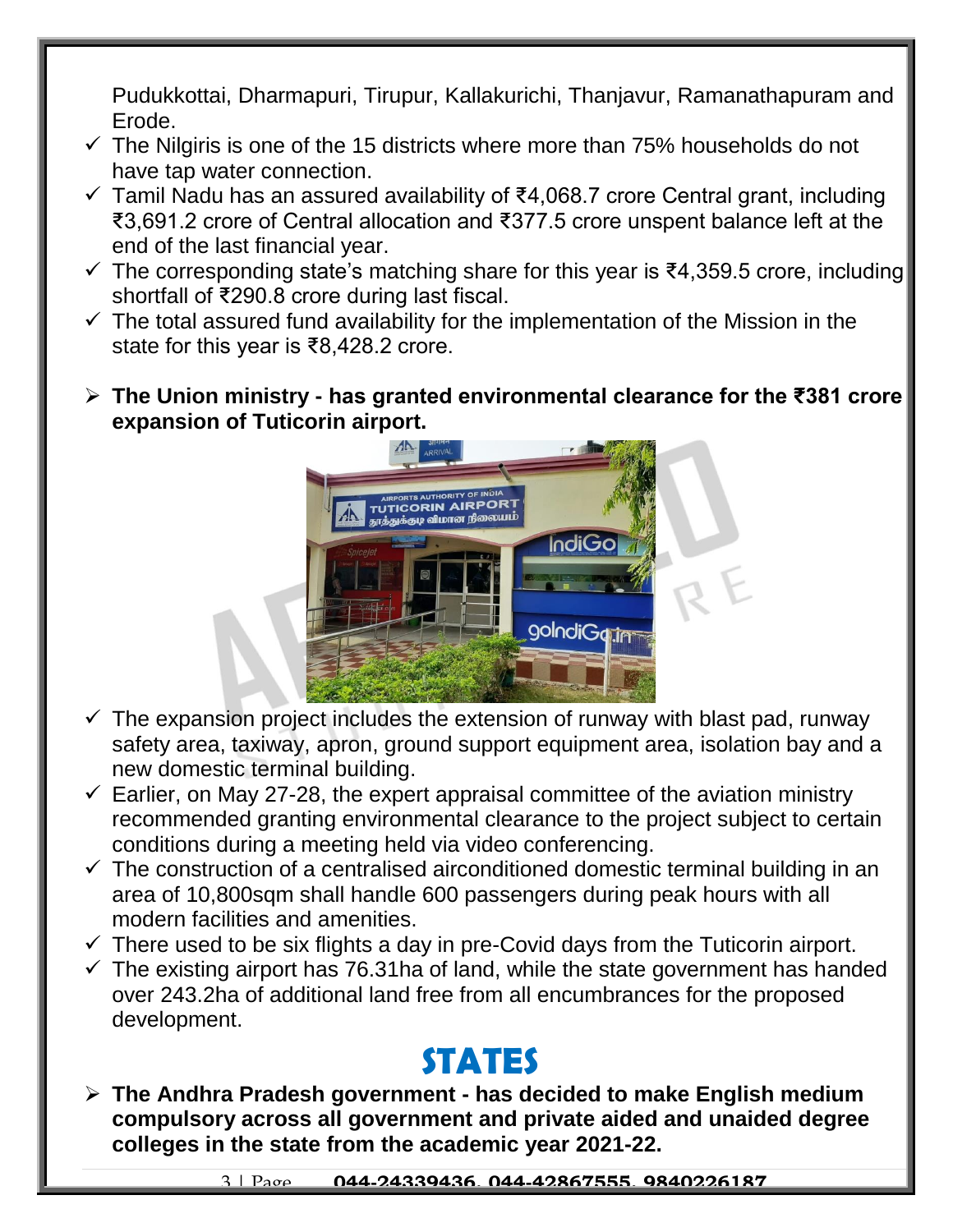Pudukkottai, Dharmapuri, Tirupur, Kallakurichi, Thanjavur, Ramanathapuram and Erode.

- $\checkmark$  The Nilgiris is one of the 15 districts where more than 75% households do not have tap water connection.
- Tamil Nadu has an assured availability of ₹4,068.7 crore Central grant, including ₹3,691.2 crore of Central allocation and ₹377.5 crore unspent balance left at the end of the last financial year.
- $\checkmark$  The corresponding state's matching share for this year is ₹4,359.5 crore, including shortfall of ₹290.8 crore during last fiscal.
- $\checkmark$  The total assured fund availability for the implementation of the Mission in the state for this year is ₹8,428.2 crore.
- **The Union ministry - has granted environmental clearance for the ₹381 crore expansion of Tuticorin airport.**



- $\checkmark$  The expansion project includes the extension of runway with blast pad, runway safety area, taxiway, apron, ground support equipment area, isolation bay and a new domestic terminal building.
- $\checkmark$  Earlier, on May 27-28, the expert appraisal committee of the aviation ministry recommended granting environmental clearance to the project subject to certain conditions during a meeting held via video conferencing.
- $\checkmark$  The construction of a centralised airconditioned domestic terminal building in an area of 10,800sqm shall handle 600 passengers during peak hours with all modern facilities and amenities.
- $\checkmark$  There used to be six flights a day in pre-Covid days from the Tuticorin airport.
- $\checkmark$  The existing airport has 76.31ha of land, while the state government has handed over 243.2ha of additional land free from all encumbrances for the proposed development.

#### **STATES**

 **The Andhra Pradesh government - has decided to make English medium compulsory across all government and private aided and unaided degree colleges in the state from the academic year 2021-22.**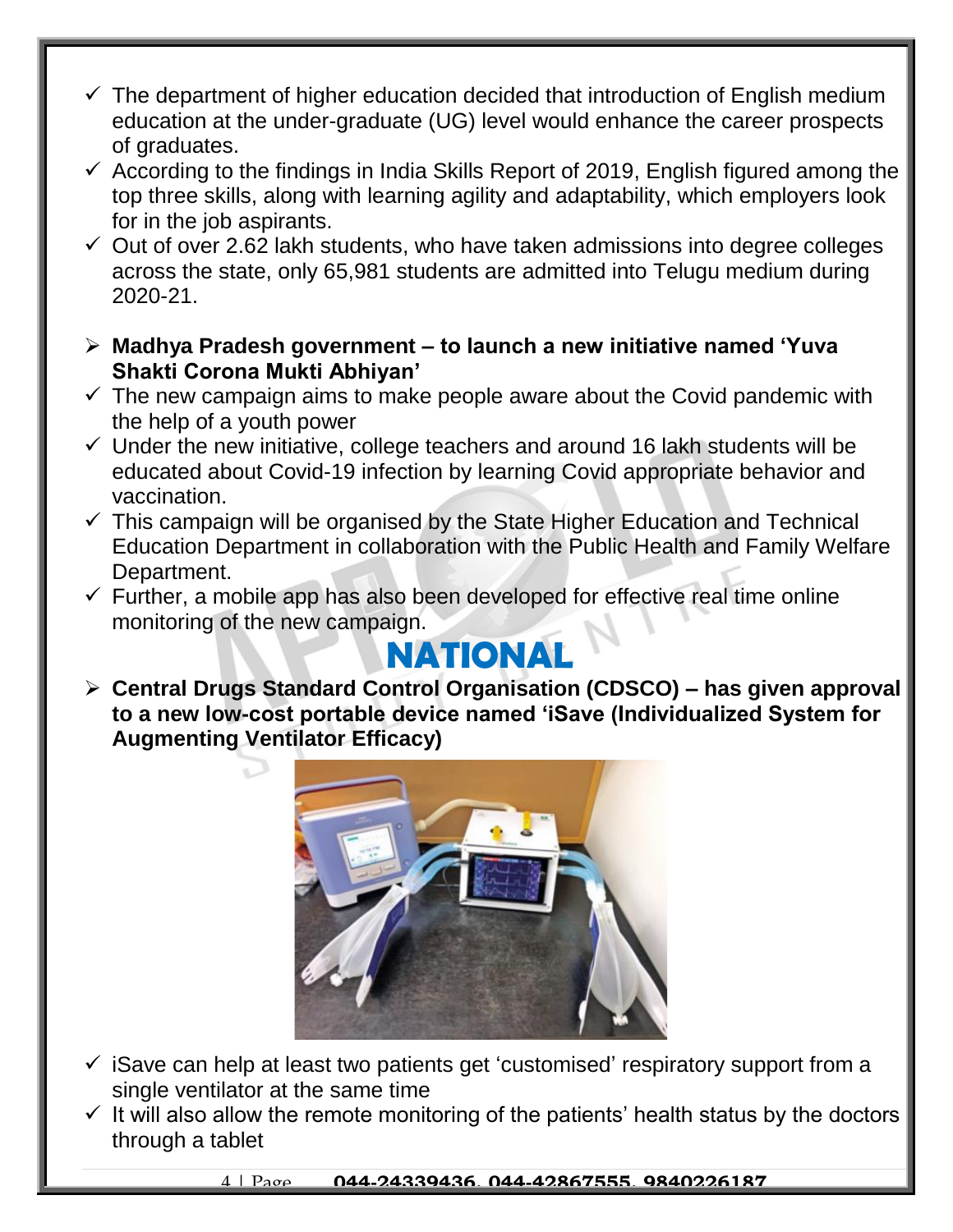- $\checkmark$  The department of higher education decided that introduction of English medium education at the under-graduate (UG) level would enhance the career prospects of graduates.
- $\checkmark$  According to the findings in India Skills Report of 2019, English figured among the top three skills, along with learning agility and adaptability, which employers look for in the job aspirants.
- $\checkmark$  Out of over 2.62 lakh students, who have taken admissions into degree colleges across the state, only 65,981 students are admitted into Telugu medium during 2020-21.
- **Madhya Pradesh government – to launch a new initiative named 'Yuva Shakti Corona Mukti Abhiyan'**
- $\checkmark$  The new campaign aims to make people aware about the Covid pandemic with the help of a youth power
- $\checkmark$  Under the new initiative, college teachers and around 16 lakh students will be educated about Covid-19 infection by learning Covid appropriate behavior and vaccination.
- $\checkmark$  This campaign will be organised by the State Higher Education and Technical Education Department in collaboration with the Public Health and Family Welfare Department.
- $\checkmark$  Further, a mobile app has also been developed for effective real time online monitoring of the new campaign.

#### **NATIONA**

 **Central Drugs Standard Control Organisation (CDSCO) – has given approval to a new low-cost portable device named 'iSave (Individualized System for Augmenting Ventilator Efficacy)**



- $\checkmark$  iSave can help at least two patients get 'customised' respiratory support from a single ventilator at the same time
- $\checkmark$  It will also allow the remote monitoring of the patients' health status by the doctors through a tablet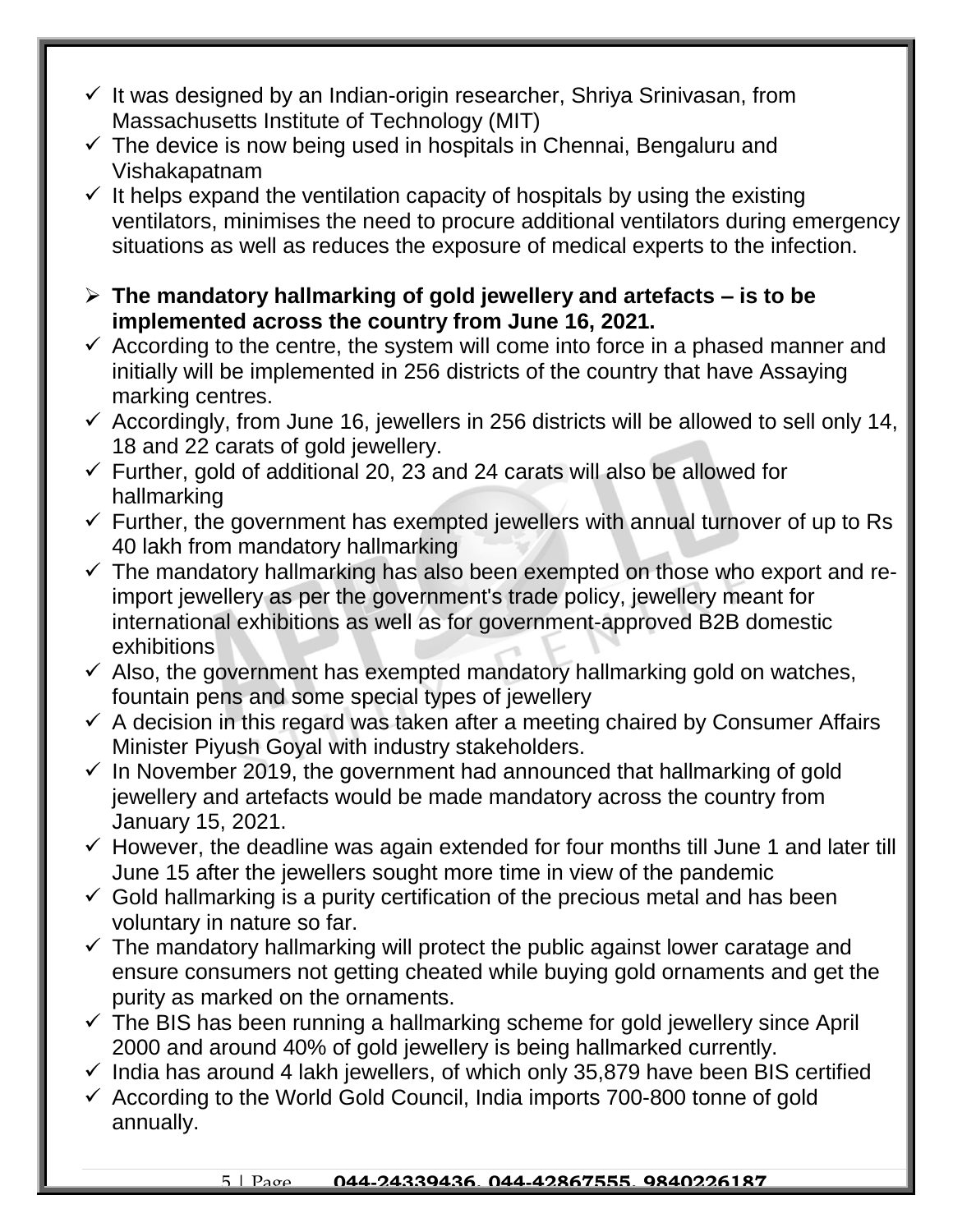- $\checkmark$  It was designed by an Indian-origin researcher, Shriya Srinivasan, from Massachusetts Institute of Technology (MIT)
- $\checkmark$  The device is now being used in hospitals in Chennai, Bengaluru and Vishakapatnam
- $\checkmark$  It helps expand the ventilation capacity of hospitals by using the existing ventilators, minimises the need to procure additional ventilators during emergency situations as well as reduces the exposure of medical experts to the infection.
- **The mandatory hallmarking of gold jewellery and artefacts – is to be implemented across the country from June 16, 2021.**
- $\checkmark$  According to the centre, the system will come into force in a phased manner and initially will be implemented in 256 districts of the country that have Assaying marking centres.
- $\checkmark$  Accordingly, from June 16, jewellers in 256 districts will be allowed to sell only 14, 18 and 22 carats of gold jewellery.
- $\checkmark$  Further, gold of additional 20, 23 and 24 carats will also be allowed for hallmarking
- $\checkmark$  Further, the government has exempted jewellers with annual turnover of up to Rs 40 lakh from mandatory hallmarking
- $\checkmark$  The mandatory hallmarking has also been exempted on those who export and reimport jewellery as per the government's trade policy, jewellery meant for international exhibitions as well as for government-approved B2B domestic exhibitions
- $\checkmark$  Also, the government has exempted mandatory hallmarking gold on watches, fountain pens and some special types of jewellery
- $\checkmark$  A decision in this regard was taken after a meeting chaired by Consumer Affairs Minister Piyush Goyal with industry stakeholders.
- $\checkmark$  In November 2019, the government had announced that hallmarking of gold jewellery and artefacts would be made mandatory across the country from January 15, 2021.
- $\checkmark$  However, the deadline was again extended for four months till June 1 and later till June 15 after the jewellers sought more time in view of the pandemic
- $\checkmark$  Gold hallmarking is a purity certification of the precious metal and has been voluntary in nature so far.
- $\checkmark$  The mandatory hallmarking will protect the public against lower caratage and ensure consumers not getting cheated while buying gold ornaments and get the purity as marked on the ornaments.
- $\checkmark$  The BIS has been running a hallmarking scheme for gold jewellery since April 2000 and around 40% of gold jewellery is being hallmarked currently.
- $\checkmark$  India has around 4 lakh jewellers, of which only 35,879 have been BIS certified
- $\checkmark$  According to the World Gold Council, India imports 700-800 tonne of gold annually.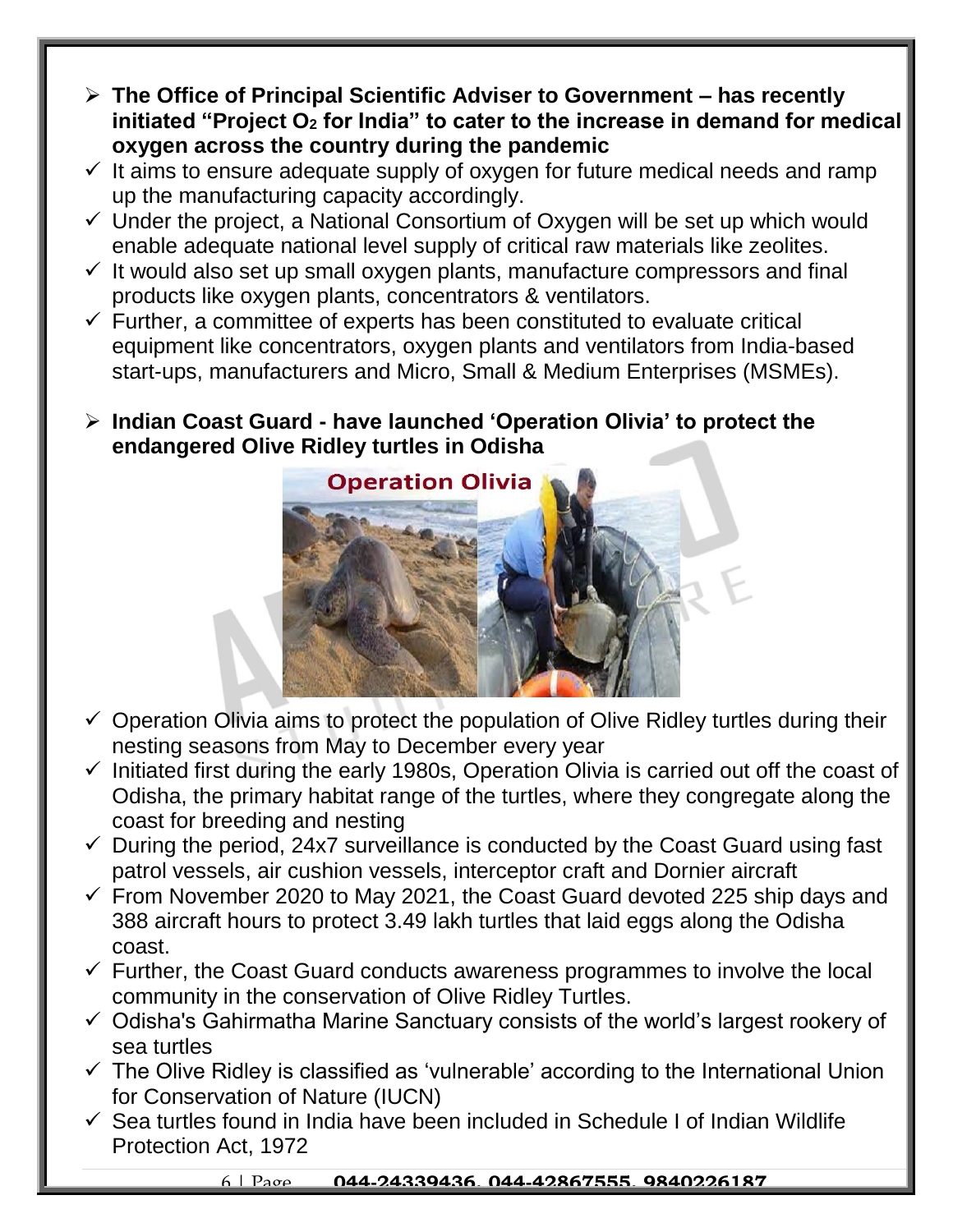- **The Office of Principal Scientific Adviser to Government – has recently initiated "Project O<sup>2</sup> for India" to cater to the increase in demand for medical oxygen across the country during the pandemic**
- $\checkmark$  It aims to ensure adequate supply of oxygen for future medical needs and ramp up the manufacturing capacity accordingly.
- $\checkmark$  Under the project, a National Consortium of Oxygen will be set up which would enable adequate national level supply of critical raw materials like zeolites.
- $\checkmark$  It would also set up small oxygen plants, manufacture compressors and final products like oxygen plants, concentrators & ventilators.
- $\checkmark$  Further, a committee of experts has been constituted to evaluate critical equipment like concentrators, oxygen plants and ventilators from India-based start-ups, manufacturers and Micro, Small & Medium Enterprises (MSMEs).
- **Indian Coast Guard - have launched 'Operation Olivia' to protect the endangered Olive Ridley turtles in Odisha**



- $\checkmark$  Operation Olivia aims to protect the population of Olive Ridley turtles during their nesting seasons from May to December every year
- $\checkmark$  Initiated first during the early 1980s, Operation Olivia is carried out off the coast of Odisha, the primary habitat range of the turtles, where they congregate along the coast for breeding and nesting
- $\checkmark$  During the period, 24x7 surveillance is conducted by the Coast Guard using fast patrol vessels, air cushion vessels, interceptor craft and Dornier aircraft
- $\checkmark$  From November 2020 to May 2021, the Coast Guard devoted 225 ship days and 388 aircraft hours to protect 3.49 lakh turtles that laid eggs along the Odisha coast.
- $\checkmark$  Further, the Coast Guard conducts awareness programmes to involve the local community in the conservation of Olive Ridley Turtles.
- $\checkmark$  Odisha's Gahirmatha Marine Sanctuary consists of the world's largest rookery of sea turtles
- $\checkmark$  The Olive Ridley is classified as 'vulnerable' according to the International Union for Conservation of Nature (IUCN)
- $\checkmark$  Sea turtles found in India have been included in Schedule I of Indian Wildlife Protection Act, 1972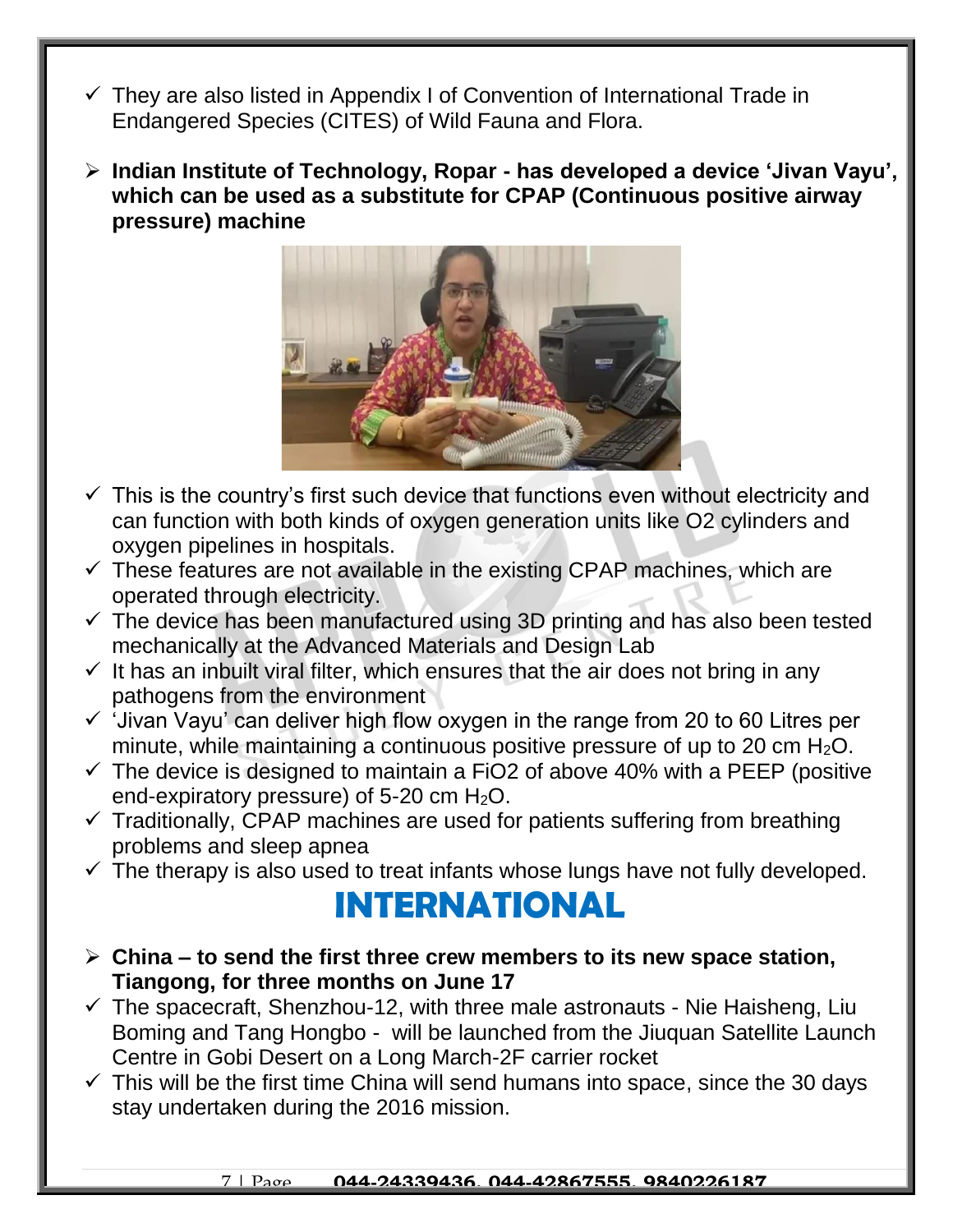- $\checkmark$  They are also listed in Appendix I of Convention of International Trade in Endangered Species (CITES) of Wild Fauna and Flora.
- **Indian Institute of Technology, Ropar - has developed a device 'Jivan Vayu', which can be used as a substitute for CPAP (Continuous positive airway pressure) machine**



- $\checkmark$  This is the country's first such device that functions even without electricity and can function with both kinds of oxygen generation units like O2 cylinders and oxygen pipelines in hospitals.
- $\checkmark$  These features are not available in the existing CPAP machines, which are operated through electricity.
- $\checkmark$  The device has been manufactured using 3D printing and has also been tested mechanically at the Advanced Materials and Design Lab
- $\checkmark$  It has an inbuilt viral filter, which ensures that the air does not bring in any pathogens from the environment
- $\checkmark$  'Jivan Vayu' can deliver high flow oxygen in the range from 20 to 60 Litres per minute, while maintaining a continuous positive pressure of up to 20 cm  $H_2O$ .
- $\checkmark$  The device is designed to maintain a FiO2 of above 40% with a PEEP (positive end-expiratory pressure) of  $5-20$  cm  $H<sub>2</sub>O$ .
- $\checkmark$  Traditionally, CPAP machines are used for patients suffering from breathing problems and sleep apnea
- $\checkmark$  The therapy is also used to treat infants whose lungs have not fully developed.

#### **INTERNATIONAL**

- **China – to send the first three crew members to its new space station, Tiangong, for three months on June 17**
- $\checkmark$  The spacecraft, Shenzhou-12, with three male astronauts Nie Haisheng, Liu Boming and Tang Hongbo - will be launched from the Jiuquan Satellite Launch Centre in Gobi Desert on a Long March-2F carrier rocket
- $\checkmark$  This will be the first time China will send humans into space, since the 30 days stay undertaken during the 2016 mission.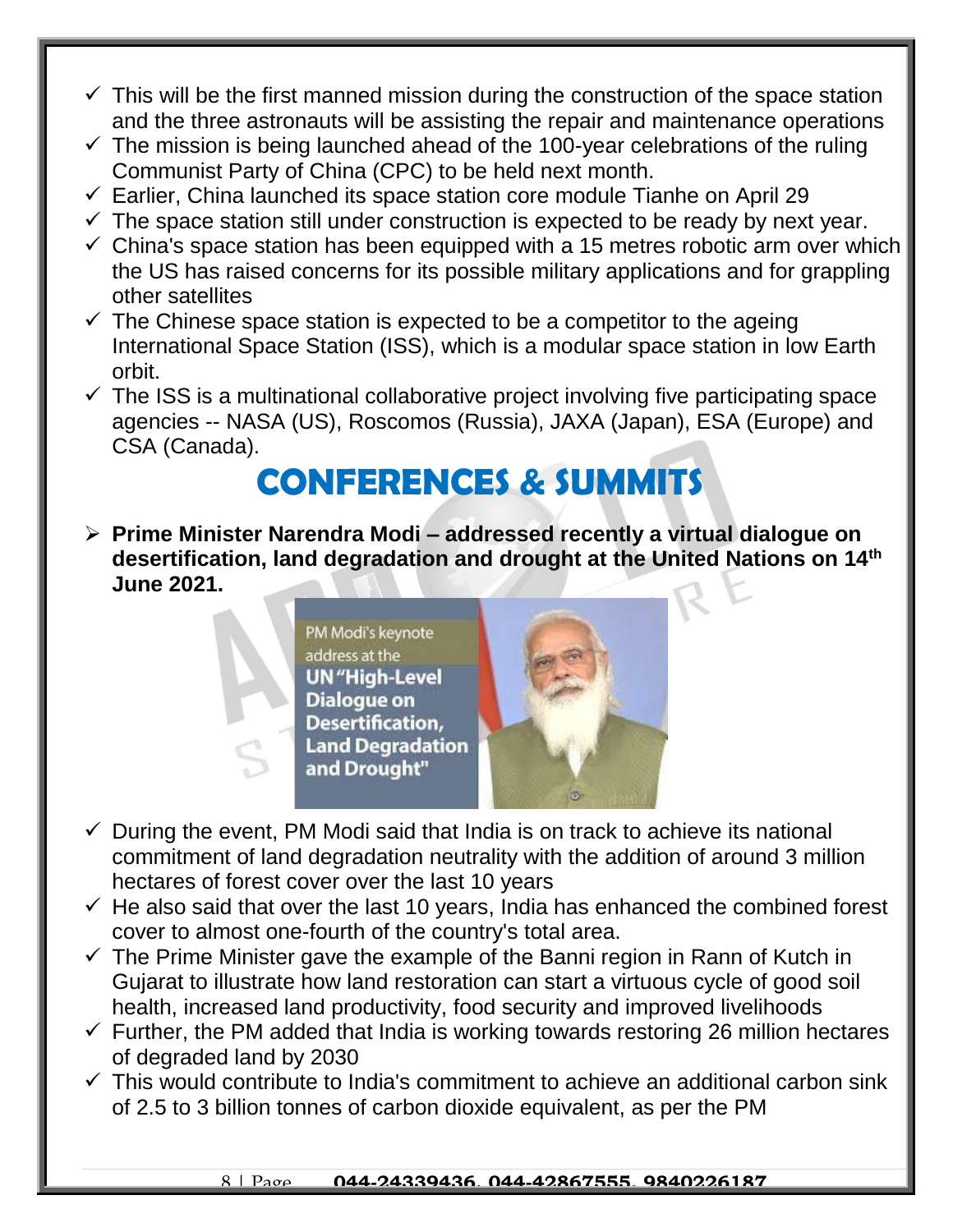- $\checkmark$  This will be the first manned mission during the construction of the space station and the three astronauts will be assisting the repair and maintenance operations
- $\checkmark$  The mission is being launched ahead of the 100-year celebrations of the ruling Communist Party of China (CPC) to be held next month.
- $\checkmark$  Earlier, China launched its space station core module Tianhe on April 29
- $\checkmark$  The space station still under construction is expected to be ready by next year.
- $\checkmark$  China's space station has been equipped with a 15 metres robotic arm over which the US has raised concerns for its possible military applications and for grappling other satellites
- $\checkmark$  The Chinese space station is expected to be a competitor to the ageing International Space Station (ISS), which is a modular space station in low Earth orbit.
- $\checkmark$  The ISS is a multinational collaborative project involving five participating space agencies -- NASA (US), Roscomos (Russia), JAXA (Japan), ESA (Europe) and CSA (Canada).

## **CONFERENCES & SUMMITS**

 **Prime Minister Narendra Modi – addressed recently a virtual dialogue on desertification, land degradation and drought at the United Nations on 14th June 2021.**



- $\checkmark$  During the event, PM Modi said that India is on track to achieve its national commitment of land degradation neutrality with the addition of around 3 million hectares of forest cover over the last 10 years
- $\checkmark$  He also said that over the last 10 years, India has enhanced the combined forest cover to almost one-fourth of the country's total area.
- $\checkmark$  The Prime Minister gave the example of the Banni region in Rann of Kutch in Gujarat to illustrate how land restoration can start a virtuous cycle of good soil health, increased land productivity, food security and improved livelihoods
- $\checkmark$  Further, the PM added that India is working towards restoring 26 million hectares of degraded land by 2030
- $\checkmark$  This would contribute to India's commitment to achieve an additional carbon sink of 2.5 to 3 billion tonnes of carbon dioxide equivalent, as per the PM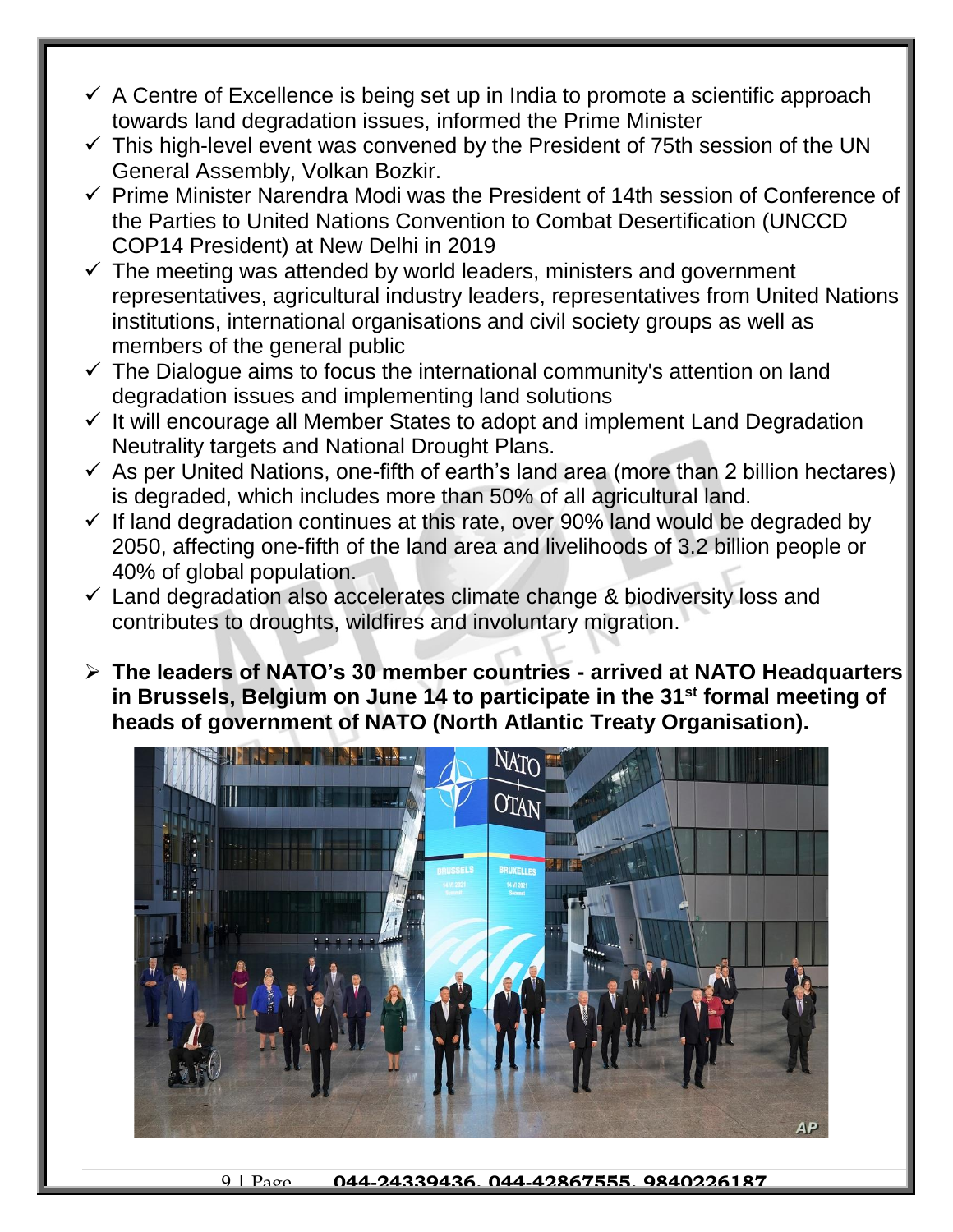- $\checkmark$  A Centre of Excellence is being set up in India to promote a scientific approach towards land degradation issues, informed the Prime Minister
- $\checkmark$  This high-level event was convened by the President of 75th session of the UN General Assembly, Volkan Bozkir.
- $\checkmark$  Prime Minister Narendra Modi was the President of 14th session of Conference of the Parties to United Nations Convention to Combat Desertification (UNCCD COP14 President) at New Delhi in 2019
- $\checkmark$  The meeting was attended by world leaders, ministers and government representatives, agricultural industry leaders, representatives from United Nations institutions, international organisations and civil society groups as well as members of the general public
- $\checkmark$  The Dialogue aims to focus the international community's attention on land degradation issues and implementing land solutions
- $\checkmark$  It will encourage all Member States to adopt and implement Land Degradation Neutrality targets and National Drought Plans.
- $\checkmark$  As per United Nations, one-fifth of earth's land area (more than 2 billion hectares) is degraded, which includes more than 50% of all agricultural land.
- $\checkmark$  If land degradation continues at this rate, over 90% land would be degraded by 2050, affecting one-fifth of the land area and livelihoods of 3.2 billion people or 40% of global population.
- $\checkmark$  Land degradation also accelerates climate change & biodiversity loss and contributes to droughts, wildfires and involuntary migration.
- **The leaders of NATO's 30 member countries - arrived at NATO Headquarters in Brussels, Belgium on June 14 to participate in the 31st formal meeting of heads of government of NATO (North Atlantic Treaty Organisation).**



9 | Page **044-24339436, 044-42867555, 9840226187**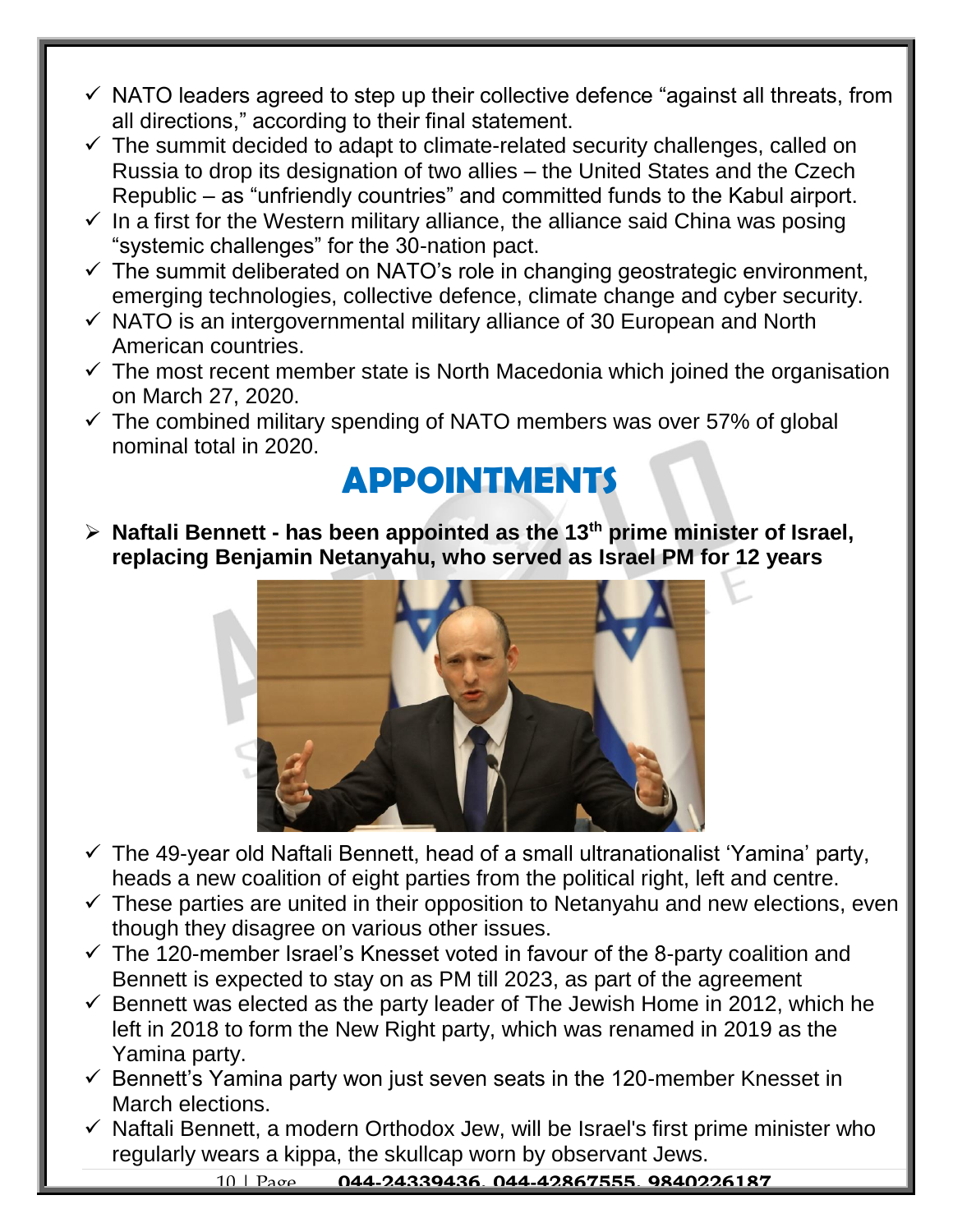- $\checkmark$  NATO leaders agreed to step up their collective defence "against all threats, from all directions," according to their final statement.
- $\checkmark$  The summit decided to adapt to climate-related security challenges, called on Russia to drop its designation of two allies – the United States and the Czech Republic – as "unfriendly countries" and committed funds to the Kabul airport.
- $\checkmark$  In a first for the Western military alliance, the alliance said China was posing "systemic challenges" for the 30-nation pact.
- $\checkmark$  The summit deliberated on NATO's role in changing geostrategic environment, emerging technologies, collective defence, climate change and cyber security.
- $\checkmark$  NATO is an intergovernmental military alliance of 30 European and North American countries.
- $\checkmark$  The most recent member state is North Macedonia which joined the organisation on March 27, 2020.
- $\checkmark$  The combined military spending of NATO members was over 57% of global nominal total in 2020.

## **APPOINTMENTS**

 **Naftali Bennett - has been appointed as the 13th prime minister of Israel, replacing Benjamin Netanyahu, who served as Israel PM for 12 years**



- $\checkmark$  The 49-year old Naftali Bennett, head of a small ultranationalist 'Yamina' party, heads a new coalition of eight parties from the political right, left and centre.
- $\checkmark$  These parties are united in their opposition to Netanyahu and new elections, even though they disagree on various other issues.
- $\checkmark$  The 120-member Israel's Knesset voted in favour of the 8-party coalition and Bennett is expected to stay on as PM till 2023, as part of the agreement
- $\checkmark$  Bennett was elected as the party leader of The Jewish Home in 2012, which he left in 2018 to form the New Right party, which was renamed in 2019 as the Yamina party.
- $\checkmark$  Bennett's Yamina party won just seven seats in the 120-member Knesset in March elections.
- $\checkmark$  Naftali Bennett, a modern Orthodox Jew, will be Israel's first prime minister who regularly wears a kippa, the skullcap worn by observant Jews.